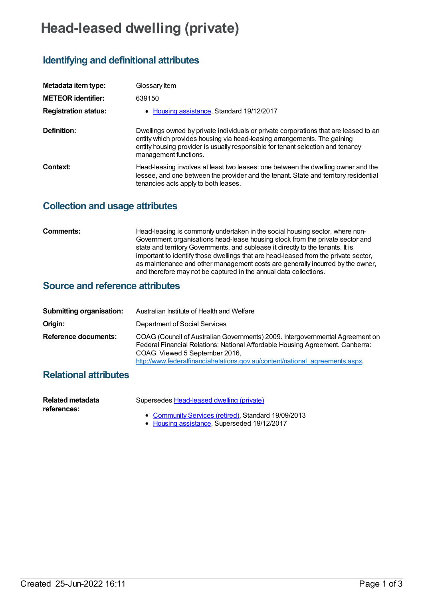# **Head-leased dwelling (private)**

## **Identifying and definitional attributes**

| Metadata item type:         | Glossary Item                                                                                                                                                                                                                                                                |
|-----------------------------|------------------------------------------------------------------------------------------------------------------------------------------------------------------------------------------------------------------------------------------------------------------------------|
| <b>METEOR identifier:</b>   | 639150                                                                                                                                                                                                                                                                       |
| <b>Registration status:</b> | • Housing assistance, Standard 19/12/2017                                                                                                                                                                                                                                    |
| Definition:                 | Dwellings owned by private individuals or private corporations that are leased to an<br>entity which provides housing via head-leasing arrangements. The gaining<br>entity housing provider is usually responsible for tenant selection and tenancy<br>management functions. |
| Context:                    | Head-leasing involves at least two leases: one between the dwelling owner and the<br>lessee, and one between the provider and the tenant. State and territory residential<br>tenancies acts apply to both leases.                                                            |

#### **Collection and usage attributes**

| <b>Comments:</b> |
|------------------|
|------------------|

Head-leasing is commonly undertaken in the social housing sector, where non-Government organisations head-lease housing stock from the private sector and state and territory Governments, and sublease it directly to the tenants. It is important to identify those dwellings that are head-leased from the private sector, as maintenance and other management costs are generally incurred by the owner, and therefore may not be captured in the annual data collections.

#### **Source and reference attributes**

| <b>Submitting organisation:</b> | Australian Institute of Health and Welfare                                                                                                                                                                                                                                        |
|---------------------------------|-----------------------------------------------------------------------------------------------------------------------------------------------------------------------------------------------------------------------------------------------------------------------------------|
| Origin:                         | Department of Social Services                                                                                                                                                                                                                                                     |
| <b>Reference documents:</b>     | COAG (Council of Australian Governments) 2009. Intergovernmental Agreement on<br>Federal Financial Relations: National Affordable Housing Agreement. Canberra:<br>COAG. Viewed 5 September 2016,<br>http://www.federalfinancialrelations.gov.au/content/national agreements.aspx. |

### **Relational attributes**

| Related metadata | Supersedes Head-leased dwelling (private)           |
|------------------|-----------------------------------------------------|
| references:      | • Community Services (retired), Standard 19/09/2013 |

• Housing [assistance](https://meteor.aihw.gov.au/RegistrationAuthority/11), Superseded 19/12/2017